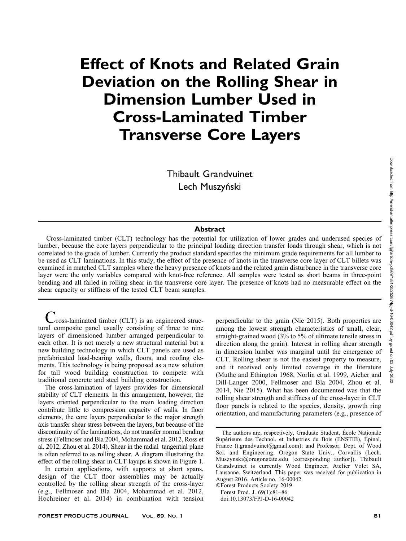# Effect of Knots and Related Grain Deviation on the Rolling Shear in Dimension Lumber Used in Cross-Laminated Timber Transverse Core Layers

Thibault Grandvuinet Lech Muszyński

# **Abstract**

Cross-laminated timber (CLT) technology has the potential for utilization of lower grades and underused species of lumber, because the core layers perpendicular to the principal loading direction transfer loads through shear, which is not correlated to the grade of lumber. Currently the product standard specifies the minimum grade requirements for all lumber to be used as CLT laminations. In this study, the effect of the presence of knots in the transverse core layer of CLT billets was examined in matched CLT samples where the heavy presence of knots and the related grain disturbance in the transverse core layer were the only variables compared with knot-free reference. All samples were tested as short beams in three-point bending and all failed in rolling shear in the transverse core layer. The presence of knots had no measurable effect on the shear capacity or stiffness of the tested CLT beam samples.

 $\nu$  ross-laminated timber (CLT) is an engineered structural composite panel usually consisting of three to nine layers of dimensioned lumber arranged perpendicular to each other. It is not merely a new structural material but a new building technology in which CLT panels are used as prefabricated load-bearing walls, floors, and roofing elements. This technology is being proposed as a new solution for tall wood building construction to compete with traditional concrete and steel building construction.

The cross-lamination of layers provides for dimensional stability of CLT elements. In this arrangement, however, the layers oriented perpendicular to the main loading direction contribute little to compression capacity of walls. In floor elements, the core layers perpendicular to the major strength axis transfer shear stress between the layers, but because of the discontinuity of the laminations, do not transfer normal bending stress (Fellmoser and Bla 2004, Mohammad et al. 2012, Ross et al. 2012, Zhou et al. 2014). Shear in the radial–tangential plane is often referred to as rolling shear. A diagram illustrating the effect of the rolling shear in CLT layups is shown in Figure 1.

In certain applications, with supports at short spans, design of the CLT floor assemblies may be actually controlled by the rolling shear strength of the cross-layer (e.g., Fellmoser and Bla 2004, Mohammad et al. 2012, Hochreiner et al. 2014) in combination with tension perpendicular to the grain (Nie 2015). Both properties are among the lowest strength characteristics of small, clear, straight-grained wood (3% to 5% of ultimate tensile stress in direction along the grain). Interest in rolling shear strength in dimension lumber was marginal until the emergence of CLT. Rolling shear is not the easiest property to measure, and it received only limited coverage in the literature (Muthe and Ethington 1968, Norlin et al. 1999, Aicher and Dill-Langer 2000, Fellmoser and Bla 2004, Zhou et al. 2014, Nie 2015). What has been documented was that the rolling shear strength and stiffness of the cross-layer in CLT floor panels is related to the species, density, growth ring orientation, and manufacturing parameters (e.g., presence of

-Forest Products Society 2019. Forest Prod. J. 69(1):81–86.

doi:10.13073/FPJ-D-16-00042

The authors are, respectively, Graduate Student, École Nationale Supérieure des Technol. et Industries du Bois (ENSTIB), Épinal, France (t.grandvuinet@gmail.com); and Professor, Dept. of Wood Sci. and Engineering, Oregon State Univ., Corvallis (Lech. Muszynski@oregonstate.edu [corresponding author]). Thibault Grandvuinet is currently Wood Engineer, Atelier Volet SA, Lausanne, Switzerland. This paper was received for publication in August 2016. Article no. 16-00042.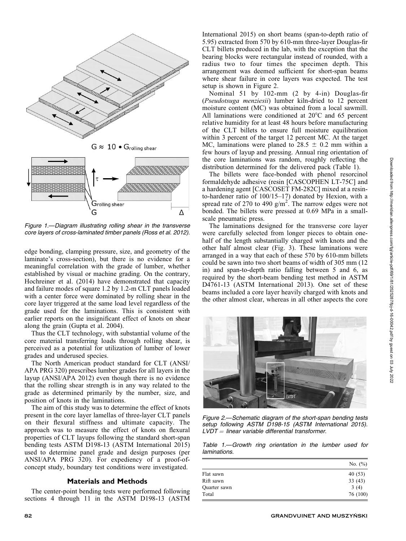

edge bonding, clamping pressure, size, and geometry of the laminate's cross-section), but there is no evidence for a meaningful correlation with the grade of lumber, whether established by visual or machine grading. On the contrary, Hochreiner et al. (2014) have demonstrated that capacity and failure modes of square 1.2 by 1.2-m CLT panels loaded with a center force were dominated by rolling shear in the core layer triggered at the same load level regardless of the grade used for the laminations. This is consistent with earlier reports on the insignificant effect of knots on shear along the grain (Gupta et al. 2004).

Thus the CLT technology, with substantial volume of the core material transferring loads through rolling shear, is perceived as a potential for utilization of lumber of lower grades and underused species.

The North American product standard for CLT (ANSI/ APA PRG 320) prescribes lumber grades for all layers in the layup (ANSI/APA 2012) even though there is no evidence that the rolling shear strength is in any way related to the grade as determined primarily by the number, size, and position of knots in the laminations.

The aim of this study was to determine the effect of knots present in the core layer lamellas of three-layer CLT panels on their flexural stiffness and ultimate capacity. The approach was to measure the effect of knots on flexural properties of CLT layups following the standard short-span bending tests ASTM D198-13 (ASTM International 2015) used to determine panel grade and design purposes (per ANSI/APA PRG 320). For expediency of a proof-ofconcept study, boundary test conditions were investigated.

# Materials and Methods

The center-point bending tests were performed following sections 4 through 11 in the ASTM D198-13 (ASTM International 2015) on short beams (span-to-depth ratio of 5.95) extracted from 570 by 610-mm three-layer Douglas-fir CLT billets produced in the lab, with the exception that the bearing blocks were rectangular instead of rounded, with a radius two to four times the specimen depth. This arrangement was deemed sufficient for short-span beams where shear failure in core layers was expected. The test setup is shown in Figure 2.

Nominal 51 by 102-mm (2 by 4-in) Douglas-fir (Pseudotsuga menziesii) lumber kiln-dried to 12 percent moisture content (MC) was obtained from a local sawmill. All laminations were conditioned at  $20^{\circ}$ C and 65 percent relative humidity for at least 48 hours before manufacturing of the CLT billets to ensure full moisture equilibration within 3 percent of the target 12 percent MC. At the target MC, laminations were planed to  $28.5 \pm 0.2$  mm within a few hours of layup and pressing. Annual ring orientation of the core laminations was random, roughly reflecting the distribution determined for the delivered pack (Table 1).

The billets were face-bonded with phenol resorcinol formaldehyde adhesive (resin [CASCOPHEN LT-75C] and a hardening agent [CASCOSET FM-282C] mixed at a resinto-hardener ratio of 100/15–17) donated by Hexion, with a spread rate of 270 to 490  $g/m^2$ . The narrow edges were not bonded. The billets were pressed at 0.69 MPa in a smallscale pneumatic press.

The laminations designed for the transverse core layer were carefully selected from longer pieces to obtain onehalf of the length substantially charged with knots and the other half almost clear (Fig. 3). These laminations were arranged in a way that each of these 570 by 610-mm billets could be sawn into two short beams of width of 305 mm (12 in) and span-to-depth ratio falling between 5 and 6, as required by the short-beam bending test method in ASTM D4761-13 (ASTM International 2013). One set of these beams included a core layer heavily charged with knots and the other almost clear, whereas in all other aspects the core



Figure 2.—Schematic diagram of the short-span bending tests setup following ASTM D198-15 (ASTM International 2015).  $LVDT = linear variable differential transformer.$ 

Table 1.—Growth ring orientation in the lumber used for laminations.

|              | No. $(\%)$ |
|--------------|------------|
| Flat sawn    | 40(53)     |
| Rift sawn    | 33(43)     |
| Quarter sawn | 3(4)       |
| Total        | 76 (100)   |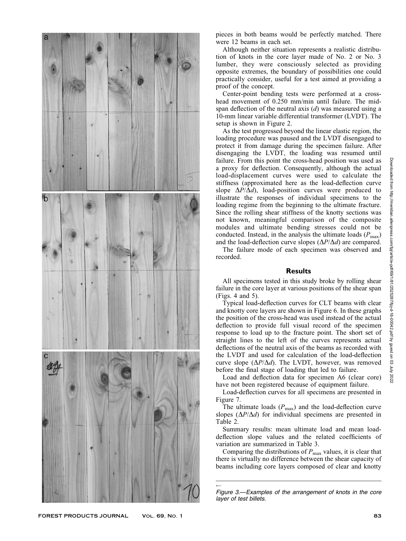

pieces in both beams would be perfectly matched. There were 12 beams in each set.

Although neither situation represents a realistic distribution of knots in the core layer made of No. 2 or No. 3 lumber, they were consciously selected as providing opposite extremes, the boundary of possibilities one could practically consider, useful for a test aimed at providing a proof of the concept.

Center-point bending tests were performed at a crosshead movement of 0.250 mm/min until failure. The midspan deflection of the neutral axis  $(d)$  was measured using a 10-mm linear variable differential transformer (LVDT). The setup is shown in Figure 2.

As the test progressed beyond the linear elastic region, the loading procedure was paused and the LVDT disengaged to protect it from damage during the specimen failure. After disengaging the LVDT, the loading was resumed until failure. From this point the cross-head position was used as a proxy for deflection. Consequently, although the actual load-displacement curves were used to calculate the stiffness (approximated here as the load-deflection curve slope  $\Delta P/\Delta d$ ), load-position curves were produced to illustrate the responses of individual specimens to the loading regime from the beginning to the ultimate fracture. Since the rolling shear stiffness of the knotty sections was not known, meaningful comparison of the composite modules and ultimate bending stresses could not be conducted. Instead, in the analysis the ultimate loads  $(P_{\text{max}})$ and the load-deflection curve slopes  $(\Delta P/\Delta d)$  are compared.

The failure mode of each specimen was observed and recorded.

### **Results**

All specimens tested in this study broke by rolling shear failure in the core layer at various positions of the shear span (Figs. 4 and 5).

Typical load-deflection curves for CLT beams with clear and knotty core layers are shown in Figure 6. In these graphs the position of the cross-head was used instead of the actual deflection to provide full visual record of the specimen response to load up to the fracture point. The short set of straight lines to the left of the curves represents actual deflections of the neutral axis of the beams as recorded with the LVDT and used for calculation of the load-deflection curve slope  $(\Delta P/\Delta d)$ . The LVDT, however, was removed before the final stage of loading that led to failure.

Load and deflection data for specimen A6 (clear core) have not been registered because of equipment failure.

Load-deflection curves for all specimens are presented in Figure 7.

The ultimate loads  $(P_{\text{max}})$  and the load-deflection curve slopes  $(\Delta P/\Delta d)$  for individual specimens are presented in Table 2.

Summary results: mean ultimate load and mean loaddeflection slope values and the related coefficients of variation are summarized in Table 3.

Comparing the distributions of  $P_{\text{max}}$  values, it is clear that there is virtually no difference between the shear capacity of beams including core layers composed of clear and knotty

 $\leftarrow$ Figure 3.—Examples of the arrangement of knots in the core layer of test billets.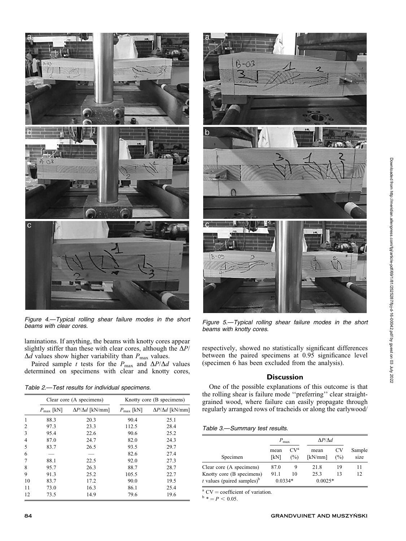

Figure 4.—Typical rolling shear failure modes in the short

laminations. If anything, the beams with knotty cores appear slightly stiffer than these with clear cores, although the  $\Delta P/$  $\Delta d$  values show higher variability than  $P_{\text{max}}$  values.

Paired sample t tests for the  $P_{\text{max}}$  and  $\Delta P/\Delta d$  values determined on specimens with clear and knotty cores,

| Table 2.-Test results for individual specimens. |  |  |  |
|-------------------------------------------------|--|--|--|
|-------------------------------------------------|--|--|--|

|    | Clear core (A specimens) |                             | Knotty core (B specimens) |                             |  |
|----|--------------------------|-----------------------------|---------------------------|-----------------------------|--|
|    | $P_{\text{max}}$ [kN]    | $\Delta P/\Delta d$ [kN/mm] | $P_{\text{max}}$ [kN]     | $\Delta P/\Delta d$ [kN/mm] |  |
| 1  | 88.3                     | 20.3                        | 90.4                      | 25.1                        |  |
| 2  | 97.3                     | 23.3                        | 112.5                     | 28.4                        |  |
| 3  | 95.4                     | 22.6                        | 90.6                      | 25.2                        |  |
| 4  | 87.0                     | 24.7                        | 82.0                      | 24.3                        |  |
| 5  | 83.7                     | 26.5                        | 93.5                      | 29.7                        |  |
| 6  |                          | --                          | 82.6                      | 27.4                        |  |
| 7  | 88.1                     | 22.5                        | 92.0                      | 27.3                        |  |
| 8  | 95.7                     | 26.3                        | 88.7                      | 28.7                        |  |
| 9  | 91.3                     | 25.2                        | 105.5                     | 22.7                        |  |
| 10 | 83.7                     | 17.2                        | 90.0                      | 19.5                        |  |
| 11 | 73.0                     | 16.3                        | 86.1                      | 25.4                        |  |
| 12 | 73.5                     | 14.9                        | 79.6                      | 19.6                        |  |



Figure 5.—Typical rolling shear failure modes in the short beams with knotty cores.

respectively, showed no statistically significant differences between the paired specimens at 0.95 significance level (specimen 6 has been excluded from the analysis).

# **Discussion**

One of the possible explanations of this outcome is that the rolling shear is failure mode ''preferring'' clear straightgrained wood, where failure can easily propagate through regularly arranged rows of tracheids or along the earlywood/

Table 3.—Summary test results.

|                                                                       | $P_{\text{max}}$       |                        | $\Delta P/\Delta d$ |           |                |  |
|-----------------------------------------------------------------------|------------------------|------------------------|---------------------|-----------|----------------|--|
| Specimen                                                              | mean<br>[kN]           | CV <sup>a</sup><br>(%) | mean<br>[kN/mm]     | CV<br>(%) | Sample<br>size |  |
| Clear core (A specimens)                                              | 87.0                   | 9                      | 21.8                | 19        |                |  |
| Knotty core (B specimens)<br>$t$ values (paired samples) <sup>b</sup> | 911<br>10<br>$0.0334*$ |                        | 25.3<br>$0.0025*$   | 13        | 12             |  |

<sup>a</sup> CV = coefficient of variation.<br>  $b^* = P < 0.05$ .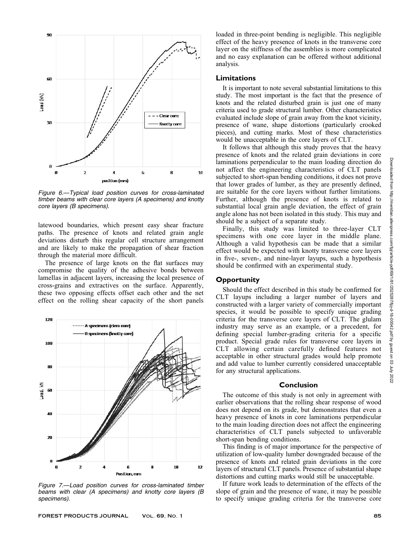

Figure 6.—Typical load position curves for cross-laminated timber beams with clear core layers (A specimens) and knotty core layers (B specimens).

latewood boundaries, which present easy shear fracture paths. The presence of knots and related grain angle deviations disturb this regular cell structure arrangement and are likely to make the propagation of shear fraction through the material more difficult.

The presence of large knots on the flat surfaces may compromise the quality of the adhesive bonds between lamellas in adjacent layers, increasing the local presence of cross-grains and extractives on the surface. Apparently, these two opposing effects offset each other and the net effect on the rolling shear capacity of the short panels



Figure 7.—Load position curves for cross-laminated timber beams with clear (A specimens) and knotty core layers (B specimens).

FOREST PRODUCTS JOURNAL VOL. 69, No. 1 85 and 20 and 20 and 20 and 20 and 20 and 20 and 20 and 20 and 20 and 20

loaded in three-point bending is negligible. This negligible effect of the heavy presence of knots in the transverse core layer on the stiffness of the assemblies is more complicated and no easy explanation can be offered without additional analysis.

# Limitations

It is important to note several substantial limitations to this study. The most important is the fact that the presence of knots and the related disturbed grain is just one of many criteria used to grade structural lumber. Other characteristics evaluated include slope of grain away from the knot vicinity, presence of wane, shape distortions (particularly crooked pieces), and cutting marks. Most of these characteristics would be unacceptable in the core layers of CLT.

It follows that although this study proves that the heavy presence of knots and the related grain deviations in core laminations perpendicular to the main loading direction do not affect the engineering characteristics of CLT panels subjected to short-span bending conditions, it does not prove that lower grades of lumber, as they are presently defined, are suitable for the core layers without further limitations. Further, although the presence of knots is related to substantial local grain angle deviation, the effect of grain angle alone has not been isolated in this study. This may and should be a subject of a separate study.

Finally, this study was limited to three-layer CLT specimens with one core layer in the middle plane. Although a valid hypothesis can be made that a similar effect would be expected with knotty transverse core layers in five-, seven-, and nine-layer layups, such a hypothesis should be confirmed with an experimental study.

# **Opportunity**

Should the effect described in this study be confirmed for CLT layups including a larger number of layers and constructed with a larger variety of commercially important species, it would be possible to specify unique grading criteria for the transverse core layers of CLT. The glulam industry may serve as an example, or a precedent, for defining special lumber-grading criteria for a specific product. Special grade rules for transverse core layers in CLT allowing certain carefully defined features not acceptable in other structural grades would help promote and add value to lumber currently considered unacceptable for any structural applications.

#### Conclusion

The outcome of this study is not only in agreement with earlier observations that the rolling shear response of wood does not depend on its grade, but demonstrates that even a heavy presence of knots in core laminations perpendicular to the main loading direction does not affect the engineering characteristics of CLT panels subjected to unfavorable short-span bending conditions.

This finding is of major importance for the perspective of utilization of low-quality lumber downgraded because of the presence of knots and related grain deviations in the core layers of structural CLT panels. Presence of substantial shape distortions and cutting marks would still be unacceptable.

If future work leads to determination of the effects of the slope of grain and the presence of wane, it may be possible to specify unique grading criteria for the transverse core